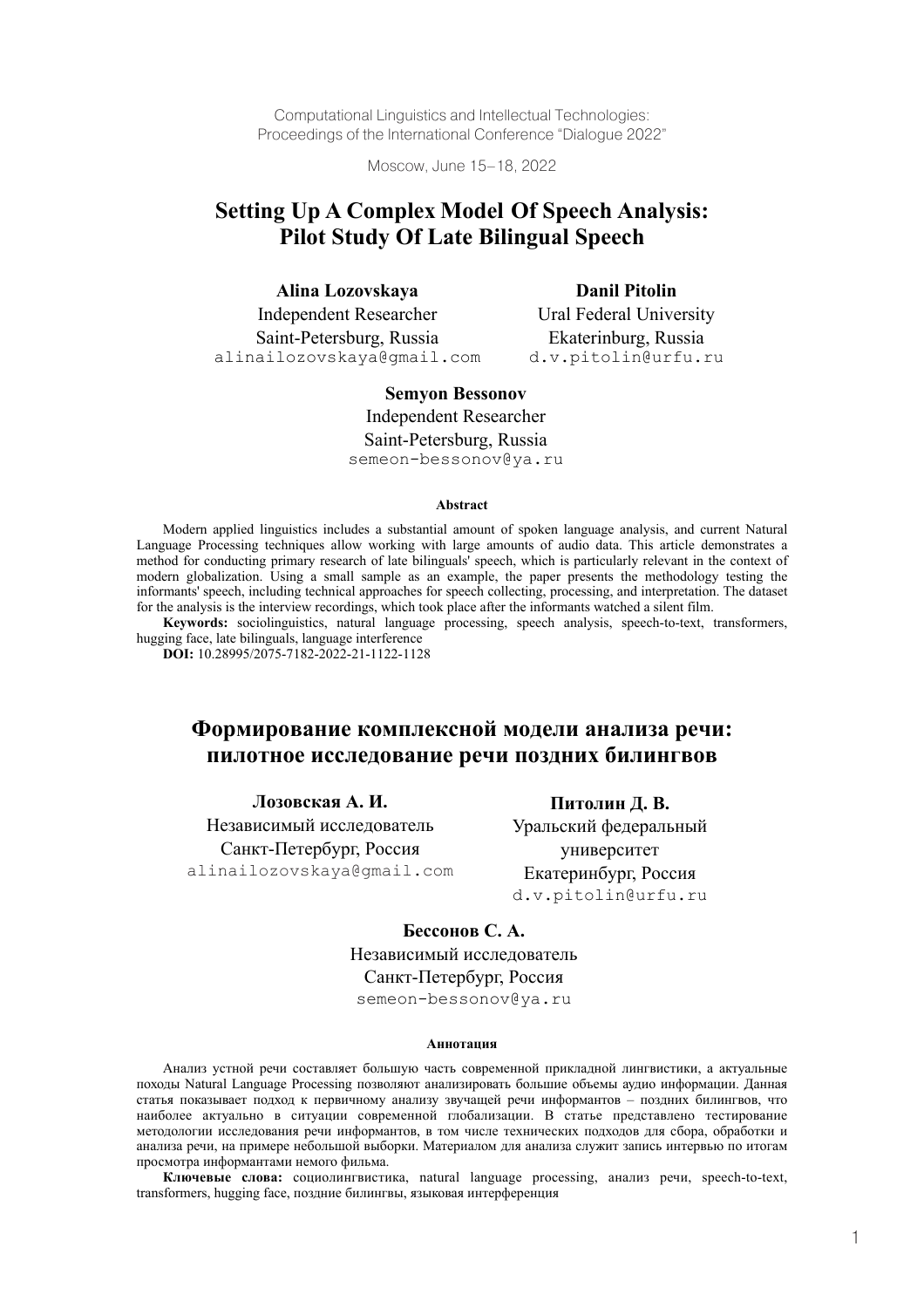Computational Linguistics and Intellectual Technologies: Proceedings of the International Conference "Dialogue 2022"

Moscow, June 15–18, 2022

# **Setting Up A Complex Model Of Speech Analysis: Pilot Study Of Late Bilingual Speech**

| Alina Lozovskaya              | <b>Danil Pitolin</b>    |
|-------------------------------|-------------------------|
| <b>Independent Researcher</b> | Ural Federal University |
| Saint-Petersburg, Russia      | Ekaterinburg, Russia    |
| alinailozovskaya@gmail.com    | d.v.pitolin@urfu.ru     |

# **Semyon Bessonov**

Independent Researcher Saint-Petersburg, Russia semeon-bessonov@ya.ru

#### **Abstract**

Modern applied linguistics includes a substantial amount of spoken language analysis, and current Natural Language Processing techniques allow working with large amounts of audio data. This article demonstrates a method for conducting primary research of late bilinguals' speech, which is particularly relevant in the context of modern globalization. Using a small sample as an example, the paper presents the methodology testing the informants' speech, including technical approaches for speech collecting, processing, and interpretation. The dataset for the analysis is the interview recordings, which took place after the informants watched a silent film.

**Keywords:** sociolinguistics, natural language processing, speech analysis, speech-to-text, transformers, hugging face, late bilinguals, language interference

**DOI:** 10.28995/2075-7182-2022-21-1122-1128

# **Формирование комплексной модели анализа речи: пилотное исследование речи поздних билингвов**

**Лозовская А. И.** Независимый исследователь Санкт-Петербург, Россия alinailozovskaya@gmail.com

**Питолин Д. В.**  Уральский федеральный университет Екатеринбург, Россия d.v.pitolin@urfu.ru

# **Бессонов С. А.**

Независимый исследователь Санкт-Петербург, Россия

semeon-bessonov@ya.ru

#### **Аннотация**

Анализ устной речи составляет большую часть современной прикладной лингвистики, а актуальные походы Natural Language Processing позволяют анализировать большие объемы аудио информации. Данная статья показывает подход к первичному анализу звучащей речи информантов – поздних билингвов, что наиболее актуально в ситуации современной глобализации. В статье представлено тестирование методологии исследования речи информантов, в том числе технических подходов для сбора, обработки и анализа речи, на примере небольшой выборки. Материалом для анализа служит запись интервью по итогам просмотра информантами немого фильма.

**Ключевые слова:** социолингвистика, natural language processing, анализ речи, speech-to-text, transformers, hugging face, поздние билингвы, языковая интерференция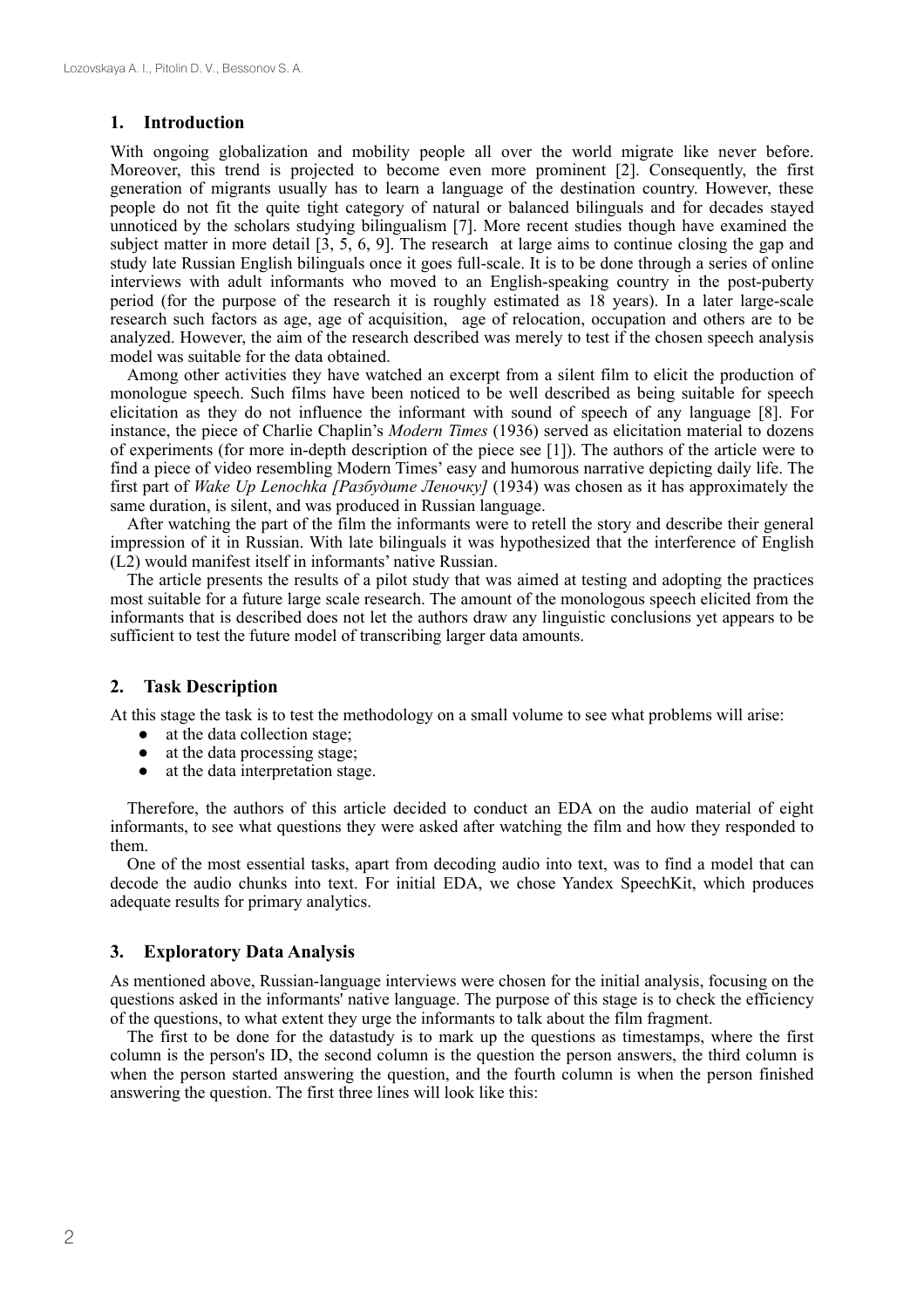## **1. Introduction**

With ongoing globalization and mobility people all over the world migrate like never before. Moreover, this trend is projected to become even more prominent [2]. Consequently, the first generation of migrants usually has to learn a language of the destination country. However, these people do not fit the quite tight category of natural or balanced bilinguals and for decades stayed unnoticed by the scholars studying bilingualism [7]. More recent studies though have examined the subject matter in more detail [3, 5, 6, 9]. The research at large aims to continue closing the gap and study late Russian English bilinguals once it goes full-scale. It is to be done through a series of online interviews with adult informants who moved to an English-speaking country in the post-puberty period (for the purpose of the research it is roughly estimated as 18 years). In a later large-scale research such factors as age, age of acquisition, age of relocation, occupation and others are to be analyzed. However, the aim of the research described was merely to test if the chosen speech analysis model was suitable for the data obtained.

Among other activities they have watched an excerpt from a silent film to elicit the production of monologue speech. Such films have been noticed to be well described as being suitable for speech elicitation as they do not influence the informant with sound of speech of any language [8]. For instance, the piece of Charlie Chaplin's *Modern Times* (1936) served as elicitation material to dozens of experiments (for more in-depth description of the piece see [1]). The authors of the article were to find a piece of video resembling Modern Times' easy and humorous narrative depicting daily life. The first part of *Wake Up Lenochka [Разбудите Леночку]* (1934) was chosen as it has approximately the same duration, is silent, and was produced in Russian language.

After watching the part of the film the informants were to retell the story and describe their general impression of it in Russian. With late bilinguals it was hypothesized that the interference of English (L2) would manifest itself in informants' native Russian.

The article presents the results of a pilot study that was aimed at testing and adopting the practices most suitable for a future large scale research. The amount of the monologous speech elicited from the informants that is described does not let the authors draw any linguistic conclusions yet appears to be sufficient to test the future model of transcribing larger data amounts.

# **2. Task Description**

At this stage the task is to test the methodology on a small volume to see what problems will arise:

- at the data collection stage;
- at the data processing stage;
- at the data interpretation stage.

Therefore, the authors of this article decided to conduct an EDA on the audio material of eight informants, to see what questions they were asked after watching the film and how they responded to them.

One of the most essential tasks, apart from decoding audio into text, was to find a model that can decode the audio chunks into text. For initial EDA, we chose Yandex SpeechKit, which produces adequate results for primary analytics.

# **3. Exploratory Data Analysis**

As mentioned above, Russian-language interviews were chosen for the initial analysis, focusing on the questions asked in the informants' native language. The purpose of this stage is to check the efficiency of the questions, to what extent they urge the informants to talk about the film fragment.

The first to be done for the datastudy is to mark up the questions as timestamps, where the first column is the person's ID, the second column is the question the person answers, the third column is when the person started answering the question, and the fourth column is when the person finished answering the question. The first three lines will look like this: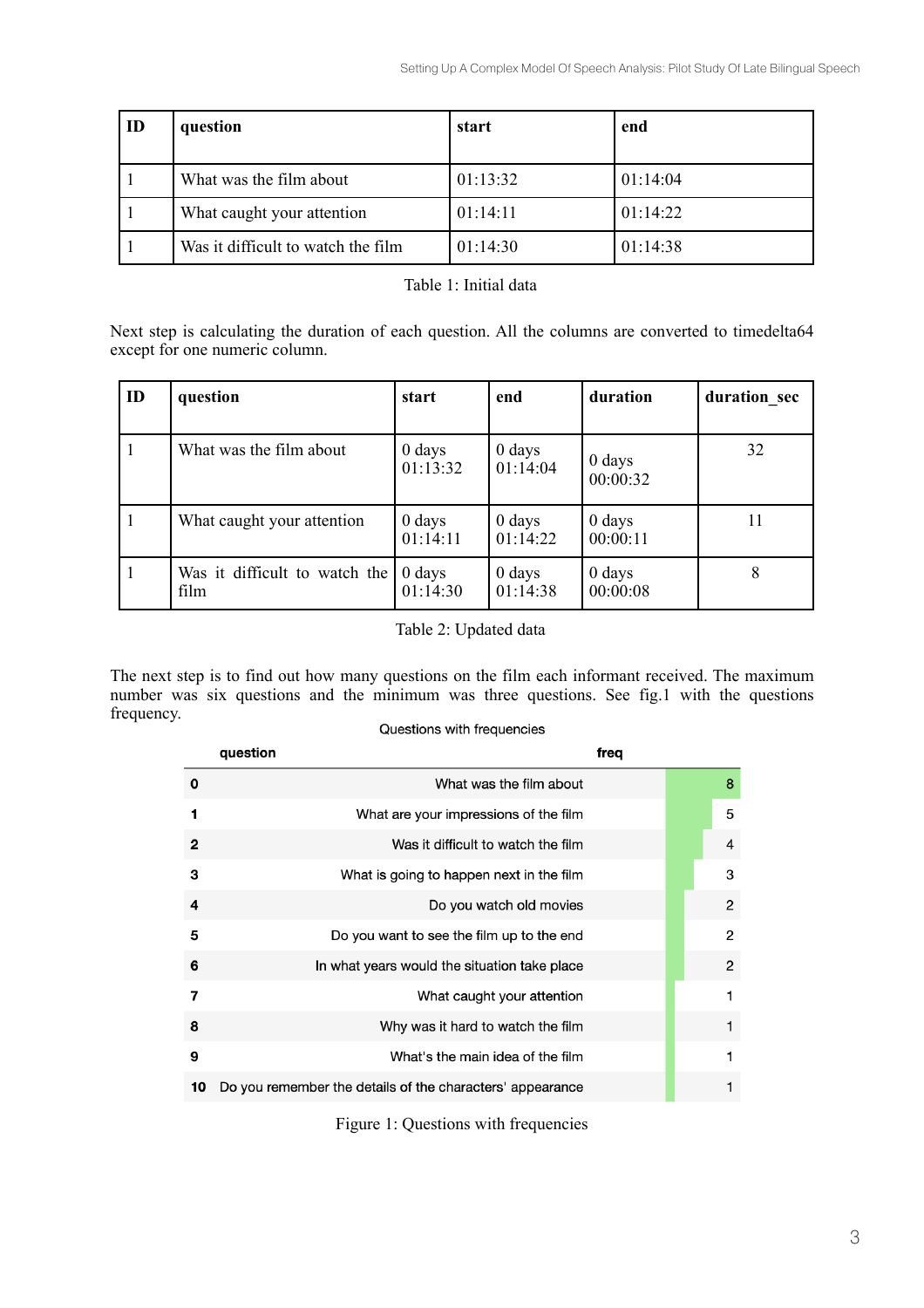| ID | question                           | start    | end      |
|----|------------------------------------|----------|----------|
|    | What was the film about            | 01:13:32 | 01:14:04 |
|    | What caught your attention         | 01:14:11 | 01:14:22 |
|    | Was it difficult to watch the film | 01:14:30 | 01:14:38 |

| Table 1: Initial data |
|-----------------------|
|-----------------------|

Next step is calculating the duration of each question. All the columns are converted to timedelta64 except for one numeric column.

| ID | question                              | start                          | end                            | duration                       | duration sec |
|----|---------------------------------------|--------------------------------|--------------------------------|--------------------------------|--------------|
|    | What was the film about               | 0 days<br>01:13:32             | $0$ days<br>01:14:04           | $0 \, \text{days}$<br>00:00:32 | 32           |
|    | What caught your attention            | $0 \, \text{days}$<br>01:14:11 | $0 \, \text{days}$<br>01:14:22 | $0$ days<br>00:00:11           | 11           |
|    | Was it difficult to watch the<br>film | $0$ days<br>01:14:30           | $0$ days<br>01:14:38           | $0$ days<br>00:00:08           | 8            |

# Table 2: Updated data

The next step is to find out how many questions on the film each informant received. The maximum number was six questions and the minimum was three questions. See fig.1 with the questions frequency. Questions with frequencies

| question | freq |                                                                                                                                                                                                                                                                                                                                                                                                                                                |                |
|----------|------|------------------------------------------------------------------------------------------------------------------------------------------------------------------------------------------------------------------------------------------------------------------------------------------------------------------------------------------------------------------------------------------------------------------------------------------------|----------------|
|          |      |                                                                                                                                                                                                                                                                                                                                                                                                                                                | 8              |
|          |      |                                                                                                                                                                                                                                                                                                                                                                                                                                                | 5              |
|          |      |                                                                                                                                                                                                                                                                                                                                                                                                                                                | $\overline{4}$ |
|          |      |                                                                                                                                                                                                                                                                                                                                                                                                                                                | 3              |
|          |      |                                                                                                                                                                                                                                                                                                                                                                                                                                                | $\overline{2}$ |
|          |      |                                                                                                                                                                                                                                                                                                                                                                                                                                                | 2              |
|          |      |                                                                                                                                                                                                                                                                                                                                                                                                                                                | $\overline{2}$ |
|          |      |                                                                                                                                                                                                                                                                                                                                                                                                                                                | 1              |
|          |      |                                                                                                                                                                                                                                                                                                                                                                                                                                                | 1              |
|          |      |                                                                                                                                                                                                                                                                                                                                                                                                                                                | 1              |
|          |      |                                                                                                                                                                                                                                                                                                                                                                                                                                                | 1              |
|          |      | What was the film about<br>What are your impressions of the film<br>Was it difficult to watch the film<br>What is going to happen next in the film<br>Do you watch old movies<br>Do you want to see the film up to the end<br>In what years would the situation take place<br>What caught your attention<br>Why was it hard to watch the film<br>What's the main idea of the film<br>Do you remember the details of the characters' appearance |                |

Figure 1: Questions with frequencies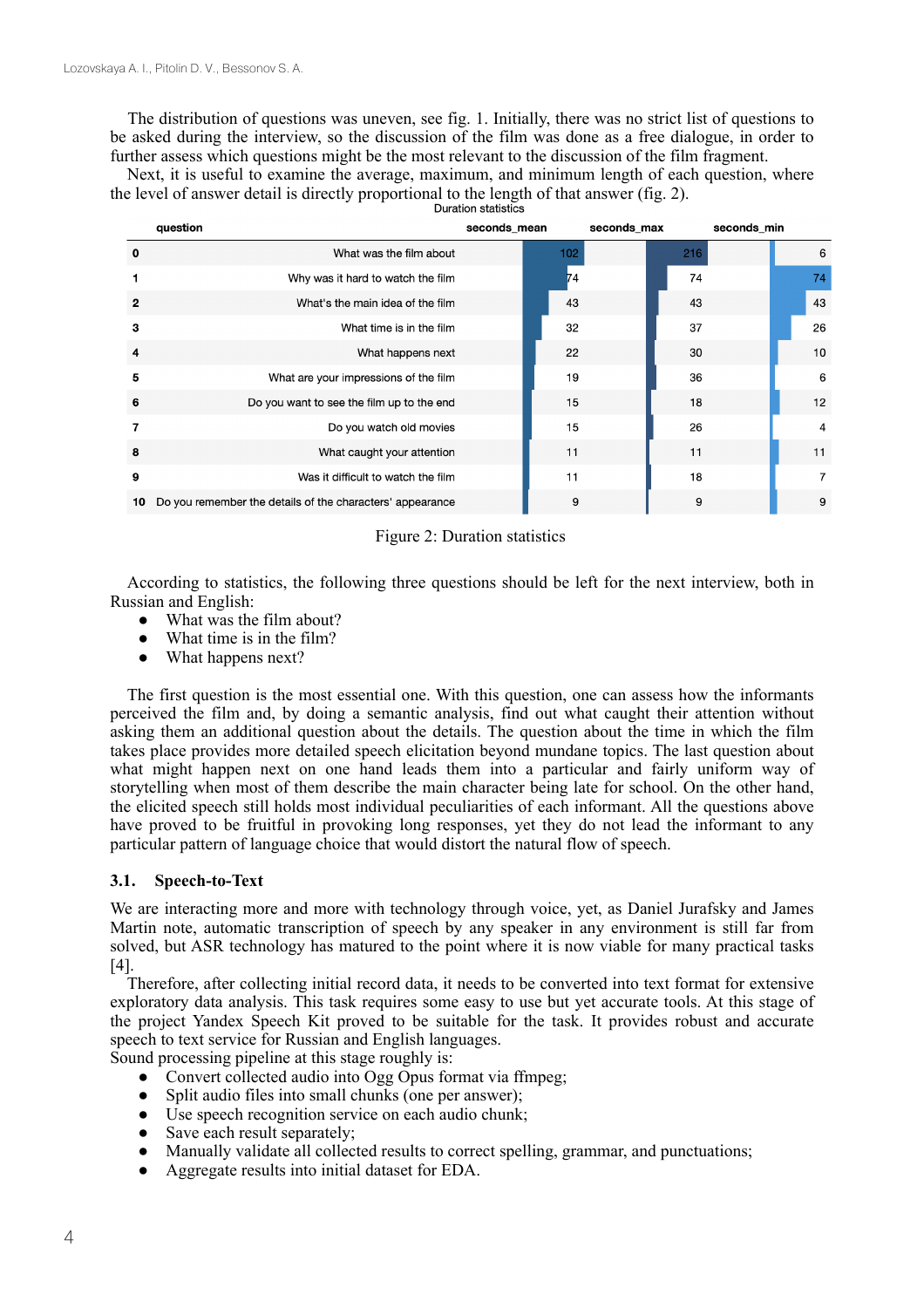The distribution of questions was uneven, see fig. 1. Initially, there was no strict list of questions to be asked during the interview, so the discussion of the film was done as a free dialogue, in order to further assess which questions might be the most relevant to the discussion of the film fragment.

Next, it is useful to examine the average, maximum, and minimum length of each question, where the level of answer detail is directly proportional to the length of that answer (fig. 2).

|              | question                                                  | seconds mean |     | seconds max |     | seconds min |                |
|--------------|-----------------------------------------------------------|--------------|-----|-------------|-----|-------------|----------------|
| 0            | What was the film about                                   |              | 102 |             | 216 |             | 6              |
|              | Why was it hard to watch the film                         |              | 74  |             | 74  |             | 74             |
| $\mathbf{2}$ | What's the main idea of the film                          |              | 43  |             | 43  |             | 43             |
| 3            | What time is in the film                                  |              | 32  |             | 37  |             | 26             |
| 4            | What happens next                                         |              | 22  |             | 30  |             | 10             |
| 5            | What are your impressions of the film                     |              | 19  |             | 36  |             | 6              |
| 6            | Do you want to see the film up to the end                 |              | 15  |             | 18  |             | 12             |
|              | Do you watch old movies                                   |              | 15  |             | 26  |             | $\overline{4}$ |
| 8            | What caught your attention                                |              | 11  |             | 11  |             | 11             |
| 9            | Was it difficult to watch the film                        |              | 11  |             | 18  |             | $\overline{7}$ |
| 10           | Do you remember the details of the characters' appearance |              | 9   |             | 9   |             | 9              |

# Figure 2: Duration statistics

According to statistics, the following three questions should be left for the next interview, both in Russian and English:

- What was the film about?
- What time is in the film?
- What happens next?

The first question is the most essential one. With this question, one can assess how the informants perceived the film and, by doing a semantic analysis, find out what caught their attention without asking them an additional question about the details. The question about the time in which the film takes place provides more detailed speech elicitation beyond mundane topics. The last question about what might happen next on one hand leads them into a particular and fairly uniform way of storytelling when most of them describe the main character being late for school. On the other hand, the elicited speech still holds most individual peculiarities of each informant. All the questions above have proved to be fruitful in provoking long responses, yet they do not lead the informant to any particular pattern of language choice that would distort the natural flow of speech.

# **3.1. Speech-to-Text**

We are interacting more and more with technology through voice, yet, as Daniel Jurafsky and James Martin note, automatic transcription of speech by any speaker in any environment is still far from solved, but ASR technology has matured to the point where it is now viable for many practical tasks [4].

Therefore, аfter collecting initial record data, it needs to be converted into text format for extensive exploratory data analysis. This task requires some easy to use but yet accurate tools. At this stage of the project Yandex Speech Kit proved to be suitable for the task. It provides robust and accurate speech to text service for Russian and English languages.

Sound processing pipeline at this stage roughly is:

- Convert collected audio into Ogg Opus format via ffmpeg;
- Split audio files into small chunks (one per answer);
- $\bullet$  Use speech recognition service on each audio chunk;
- Save each result separately;
- Manually validate all collected results to correct spelling, grammar, and punctuations;
- Aggregate results into initial dataset for EDA.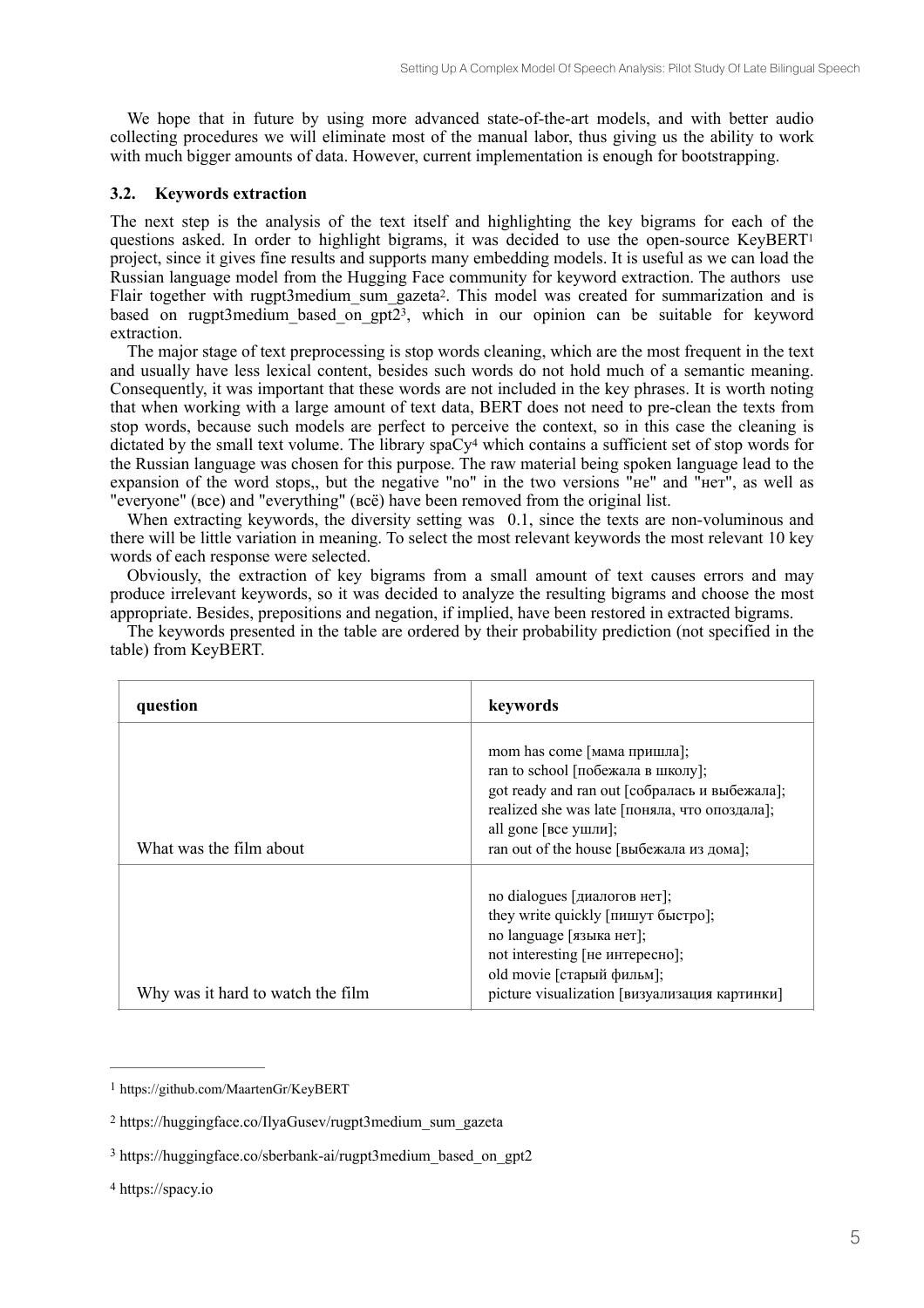We hope that in future by using more advanced state-of-the-art models, and with better audio collecting procedures we will eliminate most of the manual labor, thus giving us the ability to work with much bigger amounts of data. However, current implementation is enough for bootstrapping.

# **3.2. Keywords extraction**

The next step is the analysis of the text itself and highlighting the key bigrams for each of the questions asked. In order to highlight bigrams, it was decided to use the open-source  $KeyBERT<sup>1</sup>$ project, since it gives fine results and supports many embedding models. It is useful as we can load the Russian language model from the Hugging Face community for keyword extraction. The authors use Flair together with rugpt3medium sum gazeta<sup>2</sup>. This model was created for summarization and is based on rugpt3medium based on  $gpt23$ , which in our opinion can be suitable for keyword extraction.

The major stage of text preprocessing is stop words cleaning, which are the most frequent in the text and usually have less lexical content, besides such words do not hold much of a semantic meaning. Consequently, it was important that these words are not included in the key phrases. It is worth noting that when working with a large amount of text data, BERT does not need to pre-clean the texts from stop words, because such models are perfect to perceive the context, so in this case the cleaning is dictated by the small text volume. The library spaCy<sup>4</sup> which contains a sufficient set of stop words for the Russian language was chosen for this purpose. The raw material being spoken language lead to the expansion of the word stops,, but the negative "no" in the two versions "не" and "нет", as well as "everyone" (все) and "everything" (всё) have been removed from the original list.

When extracting keywords, the diversity setting was 0.1, since the texts are non-voluminous and there will be little variation in meaning. To select the most relevant keywords the most relevant 10 key words of each response were selected.

Obviously, the extraction of key bigrams from a small amount of text causes errors and may produce irrelevant keywords, so it was decided to analyze the resulting bigrams and choose the most appropriate. Besides, prepositions and negation, if implied, have been restored in extracted bigrams.

| question                          | keywords                                                                                                                                                                                                                                      |
|-----------------------------------|-----------------------------------------------------------------------------------------------------------------------------------------------------------------------------------------------------------------------------------------------|
| What was the film about           | mom has come $[$ мама пришла $]$ ;<br>ran to school [побежала в школу];<br>got ready and ran out [собралась и выбежала];<br>realized she was late [поняла, что опоздала];<br>all gone [все ушли];<br>ran out of the house [выбежала из дома]; |
| Why was it hard to watch the film | no dialogues [диалогов нет];<br>they write quickly [пишут быстро];<br>по language [языка нет];<br>not interesting [не интересно];<br>old movie [старый фильм];<br>picture visualization [визуализация картинки]                               |

The keywords presented in the table are ordered by their probability prediction (not specified in the table) from KeyBERT.

<sup>1</sup> https://github.com/MaartenGr/KeyBERT

https://huggingface.co/IlyaGusev/rugpt3medium\_sum\_gazeta 2

<sup>3</sup> https://huggingface.co/sberbank-ai/rugpt3medium\_based\_on\_gpt2

<sup>4</sup> https://spacy.io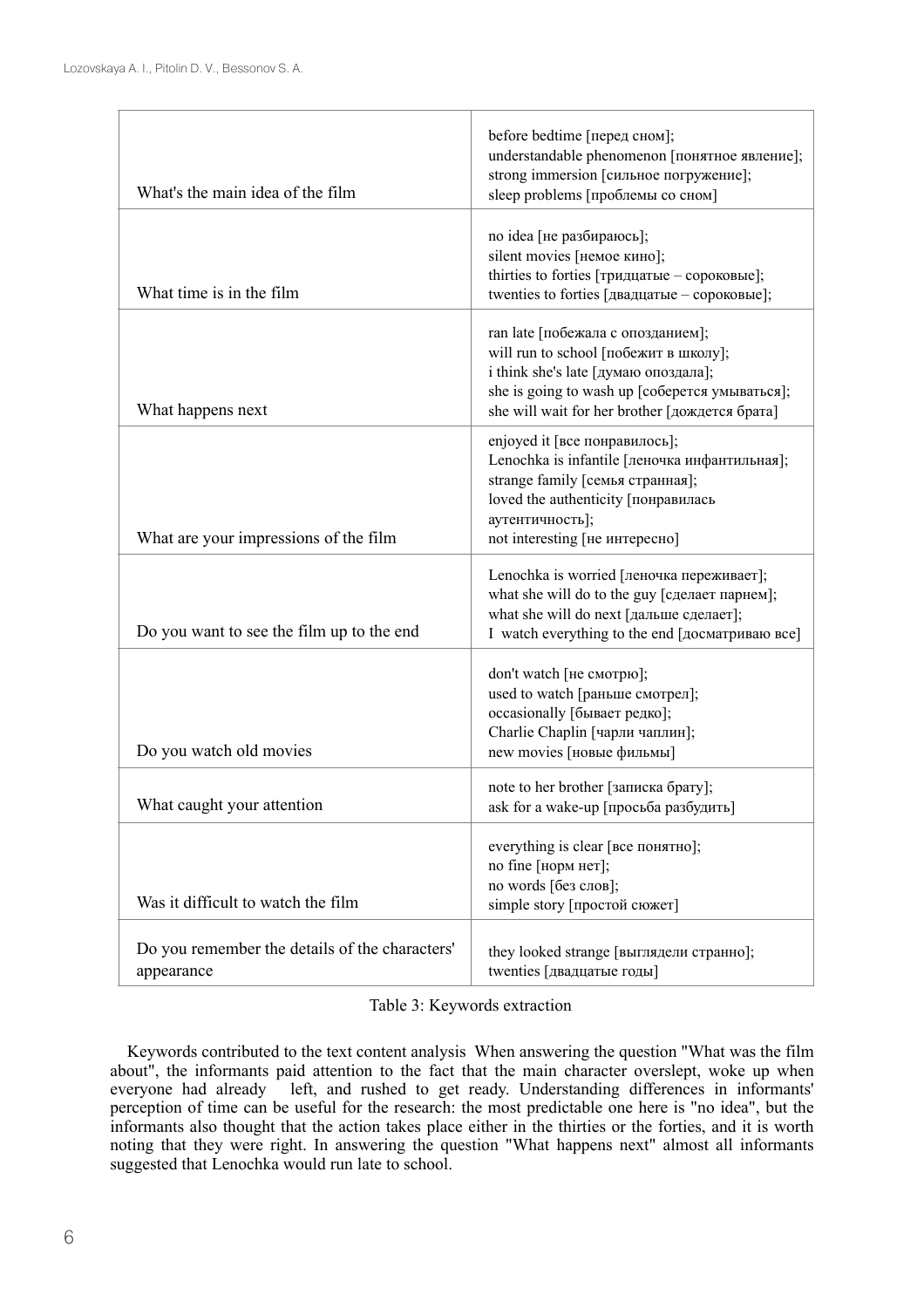| What's the main idea of the film                             | before bedtime [перед сном];<br>understandable phenomenon [понятное явление];<br>strong immersion [сильное погружение];                                                                                                |
|--------------------------------------------------------------|------------------------------------------------------------------------------------------------------------------------------------------------------------------------------------------------------------------------|
|                                                              | sleep problems [проблемы со сном]                                                                                                                                                                                      |
| What time is in the film                                     | по idea [не разбираюсь];<br>silent movies [немое кино];<br>thirties to forties [тридцатые - сороковые];<br>twenties to forties [двадцатые - сороковые];                                                                |
| What happens next                                            | ran late [побежала с опозданием];<br>will run to school [побежит в школу];<br>i think she's late [думаю опоздала];<br>she is going to wash up [соберется умываться];<br>she will wait for her brother [дождется брата] |
| What are your impressions of the film                        | enjoyed it [все понравилось];<br>Lenochka is infantile [леночка инфантильная];<br>strange family [семья странная];<br>loved the authenticity [понравилась<br>аутентичность];<br>not interesting [не интересно]         |
| Do you want to see the film up to the end                    | Lenochka is worried [леночка переживает];<br>what she will do to the guy [сделает парнем];<br>what she will do next [дальше сделает];<br>I watch everything to the end [досматриваю все]                               |
| Do you watch old movies                                      | don't watch [не смотрю];<br>used to watch [раньше смотрел];<br>occasionally [бывает редко];<br>Charlie Chaplin [чарли чаплин];<br>new movies [новые фильмы]                                                            |
| What caught your attention                                   | note to her brother [записка брату];<br>ask for a wake-up [просьба разбудить]                                                                                                                                          |
| Was it difficult to watch the film                           | everything is clear [все понятно];<br>no fine [норм нет];<br>no words [без слов];<br>simple story [простой сюжет]                                                                                                      |
| Do you remember the details of the characters'<br>appearance | they looked strange [выглядели странно];<br>twenties [двадцатые годы]                                                                                                                                                  |

Table 3: Keywords extraction

Keywords contributed to the text content analysis When answering the question "What was the film about", the informants paid attention to the fact that the main character overslept, woke up when everyone had already left, and rushed to get ready. Understanding differences in informants' left, and rushed to get ready. Understanding differences in informants' perception of time can be useful for the research: the most predictable one here is "no idea", but the informants also thought that the action takes place either in the thirties or the forties, and it is worth noting that they were right. In answering the question "What happens next" almost all informants suggested that Lenochka would run late to school.